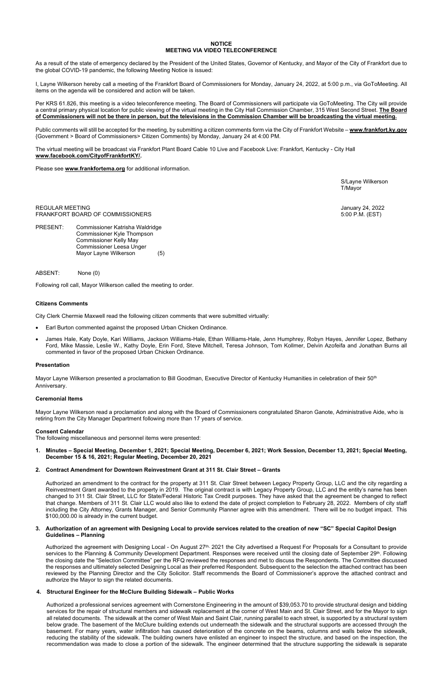## **NOTICE MEETING VIA VIDEO TELECONFERENCE**

As a result of the state of emergency declared by the President of the United States, Governor of Kentucky, and Mayor of the City of Frankfort due to the global COVID-19 pandemic, the following Meeting Notice is issued:

I, Layne Wilkerson hereby call a meeting of the Frankfort Board of Commissioners for Monday, January 24, 2022, at 5:00 p.m., via GoToMeeting. All items on the agenda will be considered and action will be taken.

Public comments will still be accepted for the meeting, by submitting a citizen comments form via the City of Frankfort Website – [www.frankfort.ky.gov](http://www.frankfort.ky.gov/) {Government > Board of Commissioners> Citizen Comments} by Monday, January 24 at 4:00 PM.

Per KRS 61.826, this meeting is a video teleconference meeting. The Board of Commissioners will participate via GoToMeeting. The City will provide a central primary physical location for public viewing of the virtual meeting in the City Hall Commission Chamber, 315 West Second Street. **The Board of Commissioners will not be there in person, but the televisions in the Commission Chamber will be broadcasting the virtual meeting.** 

The virtual meeting will be broadcast via Frankfort Plant Board Cable 10 Live and Facebook Live: Frankfort, Kentucky - City Hall **[www.facebook.com/CityofFrankfortKY/.](http://www.facebook.com/CityofFrankfortKY/)**

Please see **[www.frankfortema.org](http://www.frankfortema.org/)** for additional information.

S/Layne Wilkerson T/Mayor

REGULAR MEETING<br>FRANKFORT BOARD OF COMMISSIONERS THE SERVICE OF SAME AND THE SERVICE OF STOLEN. (EST) FRANKFORT BOARD OF COMMISSIONERS

PRESENT: Commissioner Katrisha Waldridge Commissioner Kyle Thompson Commissioner Kelly May Commissioner Leesa Unger Mayor Layne Wilkerson (5)

ABSENT: None (0)

Following roll call, Mayor Wilkerson called the meeting to order.

# **Citizens Comments**

City Clerk Chermie Maxwell read the following citizen comments that were submitted virtually:

- Earl Burton commented against the proposed Urban Chicken Ordinance.
- James Hale, Katy Doyle, Kari Williams, Jackson Williams-Hale, Ethan Williams-Hale, Jenn Humphrey, Robyn Hayes, Jennifer Lopez, Bethany Ford, Mike Massie, Leslie W., Kathy Doyle, Erin Ford, Steve Mitchell, Teresa Johnson, Tom Kollmer, Delvin Azofeifa and Jonathan Burns all commented in favor of the proposed Urban Chicken Ordinance.

## **Presentation**

Mayor Layne Wilkerson presented a proclamation to Bill Goodman, Executive Director of Kentucky Humanities in celebration of their 50th Anniversary.

Authorized the agreement with Designing Local - On August 27<sup>th,</sup> 2021 the City advertised a Request For Proposals for a Consultant to provide services to the Planning & Community Development Department. Responses were received until the closing date of September 29<sup>th</sup>. Following the closing date the "Selection Committee" per the RFQ reviewed the responses and met to discuss the Respondents. The Committee discussed the responses and ultimately selected Designing Local as their preferred Respondent. Subsequent to the selection the attached contract has been reviewed by the Planning Director and the City Solicitor. Staff recommends the Board of Commissioner's approve the attached contract and authorize the Mayor to sign the related documents.

## **Ceremonial Items**

Mayor Layne Wilkerson read a proclamation and along with the Board of Commissioners congratulated Sharon Ganote, Administrative Aide, who is retiring from the City Manager Department following more than 17 years of service.

## **Consent Calendar**

The following miscellaneous and personnel items were presented:

**1. Minutes – Special Meeting, December 1, 2021; Special Meeting, December 6, 2021; Work Session, December 13, 2021; Special Meeting, December 15 & 16, 2021; Regular Meeting, December 20, 2021** 

## **2. Contract Amendment for Downtown Reinvestment Grant at 311 St. Clair Street – Grants**

Authorized an amendment to the contract for the property at 311 St. Clair Street between Legacy Property Group, LLC and the city regarding a Reinvestment Grant awarded to the property in 2019. The original contract is with Legacy Property Group, LLC and the entity's name has been changed to 311 St. Clair Street, LLC for State/Federal Historic Tax Credit purposes. They have asked that the agreement be changed to reflect that change. Members of 311 St. Clair LLC would also like to extend the date of project completion to February 28, 2022. Members of city staff including the City Attorney, Grants Manager, and Senior Community Planner agree with this amendment. There will be no budget impact. This \$100,000.00 is already in the current budget.

## **3. Authorization of an agreement with Designing Local to provide services related to the creation of new "SC" Special Capitol Design Guidelines – Planning**

#### **4. Structural Engineer for the McClure Building Sidewalk – Public Works**

Authorized a professional services agreement with Cornerstone Engineering in the amount of \$39,053.70 to provide structural design and bidding services for the repair of structural members and sidewalk replacement at the corner of West Main and St. Clair Street, and for the Mayor to sign all related documents. The sidewalk at the corner of West Main and Saint Clair, running parallel to each street, is supported by a structural system below grade. The basement of the McClure building extends out underneath the sidewalk and the structural supports are accessed through the basement. For many years, water infiltration has caused deterioration of the concrete on the beams, columns and walls below the sidewalk, reducing the stability of the sidewalk. The building owners have enlisted an engineer to inspect the structure, and based on the inspection, the recommendation was made to close a portion of the sidewalk. The engineer determined that the structure supporting the sidewalk is separate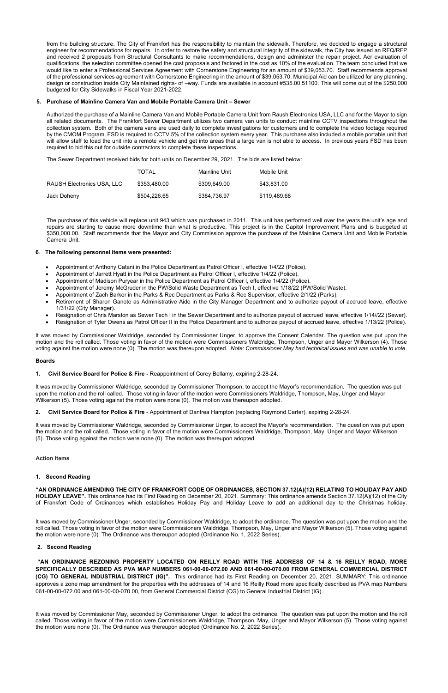from the building structure. The City of Frankfort has the responsibility to maintain the sidewalk. Therefore, we decided to engage a structural engineer for recommendations for repairs. In order to restore the safety and structural integrity of the sidewalk, the City has issued an RFQ/RFP and received 2 proposals from Structural Consultants to make recommendations, design and administer the repair project. Aer evaluation of qualifications, the selection committee opened the cost proposals and factored in the cost as 10% of the evaluation. The team concluded that we would like to enter a Professional Services Agreement with Cornerstone Engineering for an amount of \$39,053.70. Staff recommends approval of the professional services agreement with Cornerstone Engineering in the amount of \$39,053.70. Municipal Aid can be utilized for any planning, design or construction inside City Maintained rights- of –way. Funds are available in account #535.00.51100. This will come out of the \$250,000 budgeted for City Sidewalks in Fiscal Year 2021-2022.

## **5. Purchase of Mainline Camera Van and Mobile Portable Camera Unit – Sewer**

Authorized the purchase of a Mainline Camera Van and Mobile Portable Camera Unit from Raush Electronics USA, LLC and for the Mayor to sign all related documents. The Frankfort Sewer Department utilizes two camera van units to conduct mainline CCTV inspections throughout the collection system. Both of the camera vans are used daily to complete investigations for customers and to complete the video footage required by the CMOM Program. FSD is required to CCTV 5% of the collection system every year. This purchase also included a mobile portable unit that will allow staff to load the unit into a remote vehicle and get into areas that a large van is not able to access. In previous years FSD has been required to bid this out for outside contractors to complete these inspections.

The Sewer Department received bids for both units on December 29, 2021. The bids are listed below:

|                            | TOTAL        | Mainline Unit | Mobile Unit  |
|----------------------------|--------------|---------------|--------------|
| RAUSH Electronics USA, LLC | \$353.480.00 | \$309.649.00  | \$43,831.00  |
| Jack Doheny                | \$504.226.65 | \$384.736.97  | \$119,489.68 |

The purchase of this vehicle will replace unit 943 which was purchased in 2011. This unit has performed well over the years the unit's age and repairs are starting to cause more downtime than what is productive. This project is in the Capitol Improvement Plans and is budgeted at \$350,000.00. Staff recommends that the Mayor and City Commission approve the purchase of the Mainline Camera Unit and Mobile Portable Camera Unit.

## **6**. **The following personnel items were presented:**

- Appointment of Anthony Catani in the Police Department as Patrol Officer I, effective 1/4/22 (Police).
- Appointment of Jarrett Hyatt in the Police Department as Patrol Officer I, effective 1/4/22 (Police).
- Appointment of Madison Puryear in the Police Department as Patrol Officer I, effective 1/4/22 (Police).
- Appointment of Jeremy McGruder in the PW/Solid Waste Department as Tech I, effective 1/18/22 (PW/Solid Waste).
- Appointment of Zach Barker in the Parks & Rec Department as Parks & Rec Supervisor, effective 2/1/22 (Parks).
- Retirement of Sharon Ganote as Administrative Aide in the City Manager Department and to authorize payout of accrued leave, effective 1/31/22 (City Manager).
- Resignation of Chris Marston as Sewer Tech I in the Sewer Department and to authorize payout of accrued leave, effective 1/14//22 (Sewer).
- Resignation of Tyler Owens as Patrol Officer II in the Police Department and to authorize payout of accrued leave, effective 1/13/22 (Police).

It was moved by Commissioner Waldridge, seconded by Commissioner Unger, to approve the Consent Calendar. The question was put upon the motion and the roll called. Those voting in favor of the motion were Commissioners Waldridge, Thompson, Unger and Mayor Wilkerson (4). Those voting against the motion were none (0). The motion was thereupon adopted. *Note: Commissioner May had technical issues and was unable to vote.* 

## **Boards**

## **1. Civil Service Board for Police & Fire -** Reappointment of Corey Bellamy, expiring 2-28-24.

It was moved by Commissioner Waldridge, seconded by Commissioner Thompson, to accept the Mayor's recommendation. The question was put upon the motion and the roll called. Those voting in favor of the motion were Commissioners Waldridge, Thompson, May, Unger and Mayor Wilkerson (5). Those voting against the motion were none (0). The motion was thereupon adopted.

**2. Civil Service Board for Police & Fire** - Appointment of Dantrea Hampton (replacing Raymond Carter), expiring 2-28-24.

It was moved by Commissioner Waldridge, seconded by Commissioner Unger, to accept the Mayor's recommendation. The question was put upon the motion and the roll called. Those voting in favor of the motion were Commissioners Waldridge, Thompson, May, Unger and Mayor Wilkerson (5). Those voting against the motion were none (0). The motion was thereupon adopted.

## **Action Items**

## **1. Second Reading**

**"AN ORDINANCE AMENDING THE CITY OF FRANKFORT CODE OF ORDINANCES, SECTION 37.12(A)(12) RELATING TO HOLIDAY PAY AND HOLIDAY LEAVE".** This ordinance had its First Reading on December 20, 2021. Summary: This ordinance amends Section 37.12(A)(12) of the City of Frankfort Code of Ordinances which establishes Holiday Pay and Holiday Leave to add an additional day to the Christmas holiday.

It was moved by Commissioner Unger, seconded by Commissioner Waldridge, to adopt the ordinance. The question was put upon the motion and the roll called. Those voting in favor of the motion were Commissioners Waldridge, Thompson, May, Unger and Mayor Wilkerson (5). Those voting against the motion were none (0). The Ordinance was thereupon adopted (Ordinance No. 1, 2022 Series).

## **2. Second Reading**

**"AN ORDINANCE REZONING PROPERTY LOCATED ON REILLY ROAD WITH THE ADDRESS OF 14 & 16 REILLY ROAD, MORE SPECIFICALLY DESCRIBED AS PVA MAP NUMBERS 061-00-00-072.00 AND 061-00-00-070.00 FROM GENERAL COMMERCIAL DISTRICT (CG) TO GENERAL INDUSTRIAL DISTRICT (IG)".** This ordinance had its First Reading on December 20, 2021. SUMMARY: This ordinance approves a zone map amendment for the properties with the addresses of 14 and 16 Reilly Road more specifically described as PVA map Numbers 061-00-00-072.00 and 061-00-00-070.00, from General Commercial District (CG) to General Industrial District (IG).

It was moved by Commissioner May, seconded by Commissioner Unger, to adopt the ordinance. The question was put upon the motion and the roll called. Those voting in favor of the motion were Commissioners Waldridge, Thompson, May, Unger and Mayor Wilkerson (5). Those voting against the motion were none (0). The Ordinance was thereupon adopted (Ordinance No. 2, 2022 Series).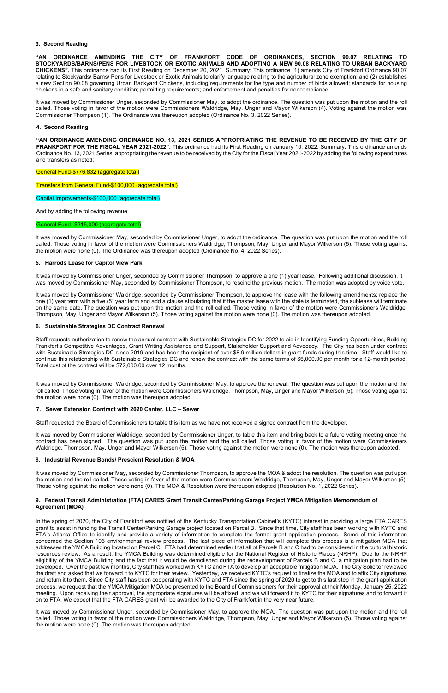## **3. Second Reading**

**"AN ORDINANCE AMENDING THE CITY OF FRANKFORT CODE OF ORDINANCES, SECTION 90.07 RELATING TO STOCKYARDS/BARNS/PENS FOR LIVESTOCK OR EXOTIC ANIMALS AND ADOPTING A NEW 90.08 RELATING TO URBAN BACKYARD CHICKENS".** This ordinance had its First Reading on December 20, 2021. Summary: This ordinance (1) amends City of Frankfort Ordinance 90.07 relating to Stockyards/ Barns/ Pens for Livestock or Exotic Animals to clarify language relating to the agricultural zone exemption; and (2) establishes a new Section 90.08 governing Urban Backyard Chickens, including requirements for the type and number of birds allowed; standards for housing chickens in a safe and sanitary condition; permitting requirements; and enforcement and penalties for noncompliance.

It was moved by Commissioner Unger, seconded by Commissioner May, to adopt the ordinance. The question was put upon the motion and the roll called. Those voting in favor of the motion were Commissioners Waldridge, May, Unger and Mayor Wilkerson (4). Voting against the motion was Commissioner Thompson (1). The Ordinance was thereupon adopted (Ordinance No. 3, 2022 Series).

#### **4. Second Reading**

**"AN ORDINANCE AMENDING ORDINANCE NO. 13, 2021 SERIES APPROPRIATING THE REVENUE TO BE RECEIVED BY THE CITY OF FRANKFORT FOR THE FISCAL YEAR 2021-2022".** This ordinance had its First Reading on January 10, 2022. Summary: This ordinance amends Ordinance No. 13, 2021 Series, appropriating the revenue to be received by the City for the Fiscal Year 2021-2022 by adding the following expenditures and transfers as noted:

#### General Fund-\$776,832 (aggregate total)

Transfers from General Fund-\$100,000 (aggregate total)

Capital Improvements-\$100,000 (aggregate total)

And by adding the following revenue:

#### General Fund -\$215,000 (aggregate total)

It was moved by Commissioner May, seconded by Commissioner Unger, to adopt the ordinance. The question was put upon the motion and the roll called. Those voting in favor of the motion were Commissioners Waldridge, Thompson, May, Unger and Mayor Wilkerson (5). Those voting against the motion were none (0). The Ordinance was thereupon adopted (Ordinance No. 4, 2022 Series).

#### **5. Harrods Lease for Capitol View Park**

It was moved by Commissioner Unger, seconded by Commissioner Thompson, to approve a one (1) year lease. Following additional discussion, it was moved by Commissioner May, seconded by Commissioner Thompson, to rescind the previous motion. The motion was adopted by voice vote.

It was moved by Commissioner Waldridge, seconded by Commissioner Thompson, to approve the lease with the following amendments: replace the one (1) year term with a five (5) year term and add a clause stipulating that if the master lease with the state is terminated, the sublease will terminate on the same date. The question was put upon the motion and the roll called. Those voting in favor of the motion were Commissioners Waldridge, Thompson, May, Unger and Mayor Wilkerson (5). Those voting against the motion were none (0). The motion was thereupon adopted.

## **6. Sustainable Strategies DC Contract Renewal**

Staff requests authorization to renew the annual contract with Sustainable Strategies DC for 2022 to aid in Identifying Funding Opportunities, Building Frankfort's Competitive Advantages, Grant Writing Assistance and Support, Stakeholder Support and Advocacy. The City has been under contract with Sustainable Strategies DC since 2019 and has been the recipient of over \$8.9 million dollars in grant funds during this time. Staff would like to continue this relationship with Sustainable Strategies DC and renew the contract with the same terms of \$6,000.00 per month for a 12-month period. Total cost of the contract will be \$72,000.00 over 12 months.

It was moved by Commissioner Waldridge, seconded by Commissioner May, to approve the renewal. The question was put upon the motion and the roll called. Those voting in favor of the motion were Commissioners Waldridge, Thompson, May, Unger and Mayor Wilkerson (5). Those voting against the motion were none (0). The motion was thereupon adopted.

#### **7. Sewer Extension Contract with 2020 Center, LLC – Sewer**

Staff requested the Board of Commissioners to table this item as we have not received a signed contract from the developer.

It was moved by Commissioner Waldridge, seconded by Commissioner Unger, to table this item and bring back to a future voting meeting once the contract has been signed. The question was put upon the motion and the roll called. Those voting in favor of the motion were Commissioners Waldridge, Thompson, May, Unger and Mayor Wilkerson (5). Those voting against the motion were none (0). The motion was thereupon adopted.

#### **8. Industrial Revenue Bonds/ Prescient Resolution & MOA**

It was moved by Commissioner May, seconded by Commissioner Thompson, to approve the MOA & adopt the resolution. The question was put upon the motion and the roll called. Those voting in favor of the motion were Commissioners Waldridge, Thompson, May, Unger and Mayor Wilkerson (5). Those voting against the motion were none (0). The MOA & Resolution were thereupon adopted (Resolution No. 1, 2022 Series).

## **9. Federal Transit Administration (FTA) CARES Grant Transit Center/Parking Garage Project YMCA Mitigation Memorandum of Agreement (MOA)**

In the spring of 2020, the City of Frankfort was notified of the Kentucky Transportation Cabinet's (KYTC) interest in providing a large FTA CARES grant to assist in funding the Transit Center/Parking Garage project located on Parcel B. Since that time, City staff has been working with KYTC and FTA's Atlanta Office to identify and provide a variety of information to complete the formal grant application process. Some of this information concerned the Section 106 environmental review process. The last piece of information that will complete this process is a mitigation MOA that addresses the YMCA Building located on Parcel C. FTA had determined earlier that all of Parcels B and C had to be considered in the cultural historic resources review. As a result, the YMCA Building was determined eligible for the National Register of Historic Places (NRHP). Due to the NRHP eligibility of the YMCA Building and the fact that it would be demolished during the redevelopment of Parcels B and C, a mitigation plan had to be developed. Over the past few months, City staff has worked with KYTC and FTA to develop an acceptable mitigation MOA. The City Solicitor reviewed the draft and asked that we forward it to KYTC for their review. Yesterday, we received KYTC's request to finalize the MOA and to affix City signatures and return it to them. Since City staff has been cooperating with KYTC and FTA since the spring of 2020 to get to this last step in the grant application process, we request that the YMCA Mitigation MOA be presented to the Board of Commissioners for their approval at their Monday, January 25, 2022 meeting. Upon receiving their approval, the appropriate signatures will be affixed, and we will forward it to KYTC for their signatures and to forward it on to FTA. We expect that the FTA CARES grant will be awarded to the City of Frankfort in the very near future.

It was moved by Commissioner Unger, seconded by Commissioner May, to approve the MOA. The question was put upon the motion and the roll called. Those voting in favor of the motion were Commissioners Waldridge, Thompson, May, Unger and Mayor Wilkerson (5). Those voting against the motion were none (0). The motion was thereupon adopted.